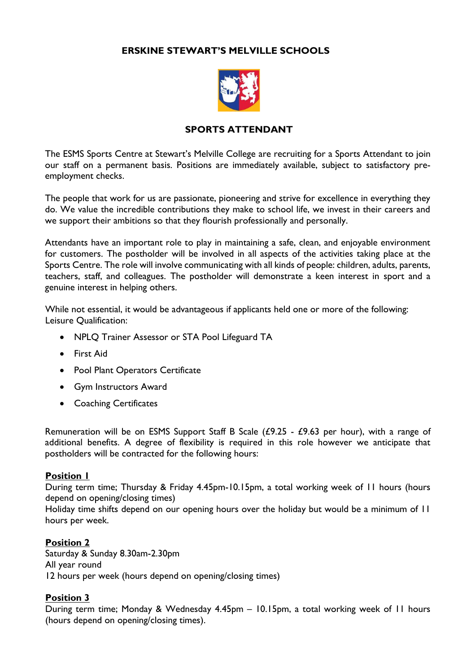# **ERSKINE STEWART'S MELVILLE SCHOOLS**



# **SPORTS ATTENDANT**

The ESMS Sports Centre at Stewart's Melville College are recruiting for a Sports Attendant to join our staff on a permanent basis. Positions are immediately available, subject to satisfactory preemployment checks.

The people that work for us are passionate, pioneering and strive for excellence in everything they do. We value the incredible contributions they make to school life, we invest in their careers and we support their ambitions so that they flourish professionally and personally.

Attendants have an important role to play in maintaining a safe, clean, and enjoyable environment for customers. The postholder will be involved in all aspects of the activities taking place at the Sports Centre. The role will involve communicating with all kinds of people: children, adults, parents, teachers, staff, and colleagues. The postholder will demonstrate a keen interest in sport and a genuine interest in helping others.

While not essential, it would be advantageous if applicants held one or more of the following: Leisure Qualification:

- NPLQ Trainer Assessor or STA Pool Lifeguard TA
- First Aid
- Pool Plant Operators Certificate
- Gym Instructors Award
- Coaching Certificates

Remuneration will be on ESMS Support Staff B Scale  $(E9.25 - E9.63$  per hour), with a range of additional benefits. A degree of flexibility is required in this role however we anticipate that postholders will be contracted for the following hours:

### **Position 1**

During term time; Thursday & Friday 4.45pm-10.15pm, a total working week of 11 hours (hours depend on opening/closing times)

Holiday time shifts depend on our opening hours over the holiday but would be a minimum of 11 hours per week.

# **Position 2**

Saturday & Sunday 8.30am-2.30pm All year round 12 hours per week (hours depend on opening/closing times)

# **Position 3**

During term time; Monday & Wednesday 4.45pm – 10.15pm, a total working week of 11 hours (hours depend on opening/closing times).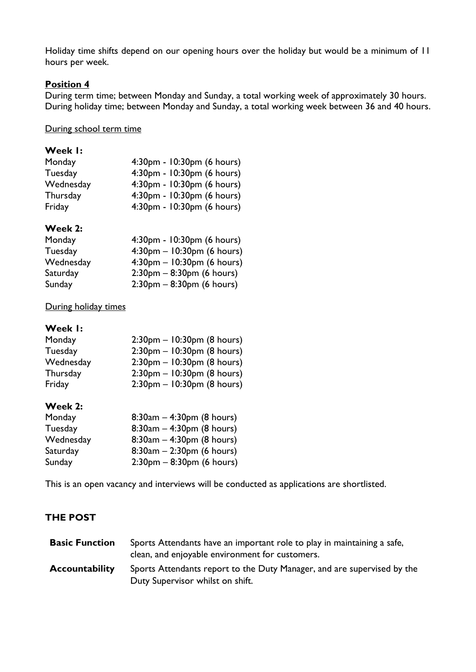Holiday time shifts depend on our opening hours over the holiday but would be a minimum of 11 hours per week.

## **Position 4**

During term time; between Monday and Sunday, a total working week of approximately 30 hours. During holiday time; between Monday and Sunday, a total working week between 36 and 40 hours.

### During school term time

| Week I: |  |
|---------|--|
|         |  |

| Monday    | 4:30pm - 10:30pm (6 hours) |
|-----------|----------------------------|
| Tuesday   | 4:30pm - 10:30pm (6 hours) |
| Wednesday | 4:30pm - 10:30pm (6 hours) |
| Thursday  | 4:30pm - 10:30pm (6 hours) |
| Friday    | 4:30pm - 10:30pm (6 hours) |

### **Week 2:**

| Monday    | 4:30pm - 10:30pm (6 hours)                  |
|-----------|---------------------------------------------|
| Tuesday   | $4:30pm - 10:30pm$ (6 hours)                |
| Wednesday | $4:30$ pm – 10:30pm (6 hours)               |
| Saturday  | $2:30 \text{pm} - 8:30 \text{pm}$ (6 hours) |
| Sunday    | $2:30$ pm – 8:30pm (6 hours)                |

### During holiday times

# **Week 1:**

| Monday          | $2:30$ pm – 10:30pm (8 hours)    |
|-----------------|----------------------------------|
| Tuesday         | $2:30$ pm - $10:30$ pm (8 hours) |
| Wednesday       | $2:30$ pm – 10:30pm (8 hours)    |
| <b>Thursday</b> | $2:30$ pm – 10:30pm (8 hours)    |
| Friday          | $2:30$ pm – 10:30pm (8 hours)    |

### **Week 2:**

| Monday    | $8:30am - 4:30pm (8 hours)$  |
|-----------|------------------------------|
| Tuesday   | $8:30am - 4:30pm (8 hours)$  |
| Wednesday | $8:30am - 4:30pm (8 hours)$  |
| Saturday  | $8:30am - 2:30pm (6 hours)$  |
| Sunday    | $2:30$ pm – 8:30pm (6 hours) |

This is an open vacancy and interviews will be conducted as applications are shortlisted.

# **THE POST**

| <b>Basic Function</b> | Sports Attendants have an important role to play in maintaining a safe,<br>clean, and enjoyable environment for customers. |
|-----------------------|----------------------------------------------------------------------------------------------------------------------------|
| <b>Accountability</b> | Sports Attendants report to the Duty Manager, and are supervised by the<br>Duty Supervisor whilst on shift.                |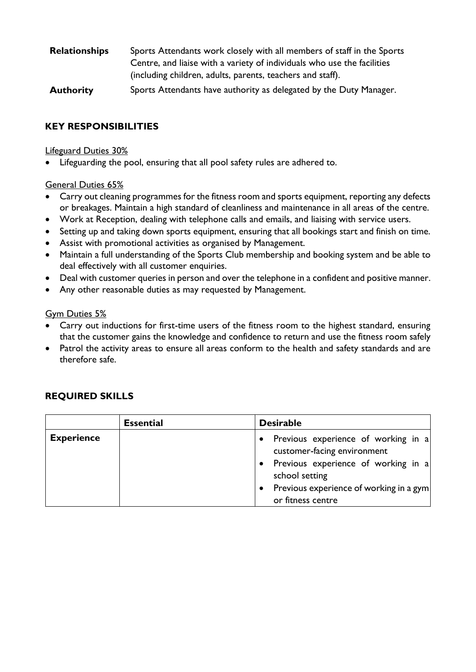| <b>Relationships</b> | Sports Attendants work closely with all members of staff in the Sports  |
|----------------------|-------------------------------------------------------------------------|
|                      | Centre, and liaise with a variety of individuals who use the facilities |
|                      | (including children, adults, parents, teachers and staff).              |
|                      |                                                                         |

**Authority** Sports Attendants have authority as delegated by the Duty Manager.

# **KEY RESPONSIBILITIES**

# Lifeguard Duties 30%

• Lifeguarding the pool, ensuring that all pool safety rules are adhered to.

# General Duties 65%

- Carry out cleaning programmes for the fitness room and sports equipment, reporting any defects or breakages. Maintain a high standard of cleanliness and maintenance in all areas of the centre.
- Work at Reception, dealing with telephone calls and emails, and liaising with service users.
- Setting up and taking down sports equipment, ensuring that all bookings start and finish on time.
- Assist with promotional activities as organised by Management.
- Maintain a full understanding of the Sports Club membership and booking system and be able to deal effectively with all customer enquiries.
- Deal with customer queries in person and over the telephone in a confident and positive manner.
- Any other reasonable duties as may requested by Management.

# Gym Duties 5%

- Carry out inductions for first-time users of the fitness room to the highest standard, ensuring that the customer gains the knowledge and confidence to return and use the fitness room safely
- Patrol the activity areas to ensure all areas conform to the health and safety standards and are therefore safe.

|                   | <b>Essential</b> | <b>Desirable</b>  |                                                                    |  |  |
|-------------------|------------------|-------------------|--------------------------------------------------------------------|--|--|
| <b>Experience</b> |                  |                   | Previous experience of working in a<br>customer-facing environment |  |  |
|                   |                  | school setting    | Previous experience of working in a                                |  |  |
|                   |                  | or fitness centre | Previous experience of working in a gym                            |  |  |

# **REQUIRED SKILLS**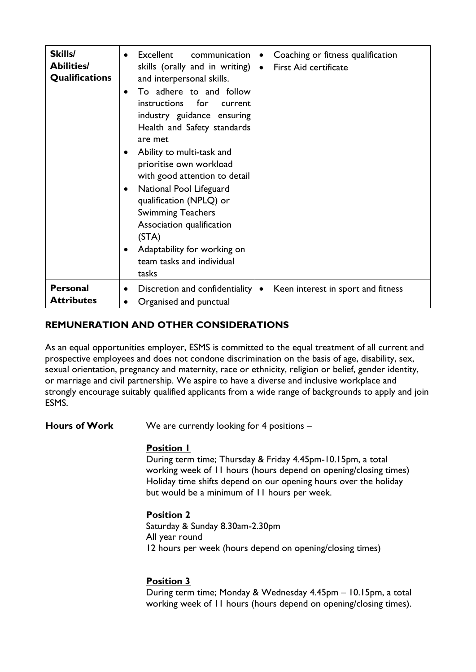| Skills/<br><b>Abilities/</b><br><b>Qualifications</b> | Excellent<br>Coaching or fitness qualification<br>communication<br>$\bullet$<br>٠<br>skills (orally and in writing)<br><b>First Aid certificate</b><br>$\bullet$<br>and interpersonal skills.<br>To adhere to and follow<br>$\bullet$<br>instructions<br>for<br><b>current</b><br>industry guidance ensuring<br>Health and Safety standards<br>are met<br>Ability to multi-task and<br>$\bullet$<br>prioritise own workload<br>with good attention to detail<br>National Pool Lifeguard<br>$\bullet$<br>qualification (NPLQ) or<br><b>Swimming Teachers</b><br>Association qualification<br>(STA)<br>Adaptability for working on<br>team tasks and individual<br>tasks |
|-------------------------------------------------------|------------------------------------------------------------------------------------------------------------------------------------------------------------------------------------------------------------------------------------------------------------------------------------------------------------------------------------------------------------------------------------------------------------------------------------------------------------------------------------------------------------------------------------------------------------------------------------------------------------------------------------------------------------------------|
| <b>Personal</b><br><b>Attributes</b>                  | Discretion and confidentiality<br>Keen interest in sport and fitness<br>٠<br>Organised and punctual<br>$\bullet$                                                                                                                                                                                                                                                                                                                                                                                                                                                                                                                                                       |

# **REMUNERATION AND OTHER CONSIDERATIONS**

As an equal opportunities employer, ESMS is committed to the equal treatment of all current and prospective employees and does not condone discrimination on the basis of age, disability, sex, sexual orientation, pregnancy and maternity, race or ethnicity, religion or belief, gender identity, or marriage and civil partnership. We aspire to have a diverse and inclusive workplace and strongly encourage suitably qualified applicants from a wide range of backgrounds to apply and join ESMS.

**Hours of Work** We are currently looking for 4 positions –

# **Position 1**

During term time; Thursday & Friday 4.45pm-10.15pm, a total working week of 11 hours (hours depend on opening/closing times) Holiday time shifts depend on our opening hours over the holiday but would be a minimum of 11 hours per week.

**Position 2** Saturday & Sunday 8.30am-2.30pm All year round 12 hours per week (hours depend on opening/closing times)

# **Position 3**

During term time; Monday & Wednesday 4.45pm – 10.15pm, a total working week of 11 hours (hours depend on opening/closing times).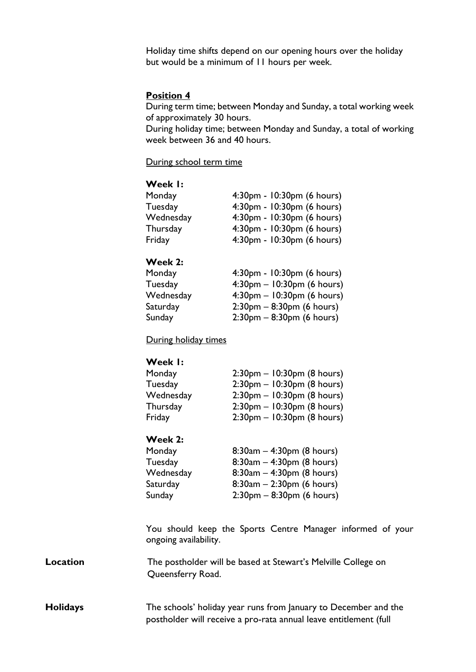Holiday time shifts depend on our opening hours over the holiday but would be a minimum of 11 hours per week.

### **Position 4**

During term time; between Monday and Sunday, a total working week of approximately 30 hours.

During holiday time; between Monday and Sunday, a total of working week between 36 and 40 hours.

During school term time

### **Week 1:**

| Monday    | 4:30pm - 10:30pm (6 hours) |
|-----------|----------------------------|
| Tuesday   | 4:30pm - 10:30pm (6 hours) |
| Wednesday | 4:30pm - 10:30pm (6 hours) |
| Thursday  | 4:30pm - 10:30pm (6 hours) |
| Friday    | 4:30pm - 10:30pm (6 hours) |
|           |                            |

### **Week 2:**

| Monday    | 4:30pm - 10:30pm (6 hours)                  |
|-----------|---------------------------------------------|
| Tuesday   | $4:30$ pm – 10:30pm (6 hours)               |
| Wednesday | $4:30pm - 10:30pm$ (6 hours)                |
| Saturday  | $2:30 \text{pm} - 8:30 \text{pm}$ (6 hours) |
| Sunday    | $2:30 \text{pm} - 8:30 \text{pm}$ (6 hours) |
|           |                                             |

### During holiday times

### **Week 1:**

| Monday    | $2:30$ pm – 10:30pm (8 hours) |
|-----------|-------------------------------|
| Tuesday   | $2:30$ pm – 10:30pm (8 hours) |
| Wednesday | $2:30$ pm – 10:30pm (8 hours) |
| Thursday  | $2:30$ pm – 10:30pm (8 hours) |
| Friday    | $2:30$ pm – 10:30pm (8 hours) |

#### **Week 2:**

| $8:30am - 4:30pm (8 hours)$  |
|------------------------------|
| $8:30am - 4:30pm (8 hours)$  |
| $8:30am - 4:30pm (8 hours)$  |
| $8:30am - 2:30pm (6 hours)$  |
| $2:30$ pm – 8:30pm (6 hours) |
|                              |

You should keep the Sports Centre Manager informed of your ongoing availability.

**Location The postholder will be based at Stewart's Melville College on** Queensferry Road.

# **Holidays** The schools' holiday year runs from January to December and the postholder will receive a pro-rata annual leave entitlement (full